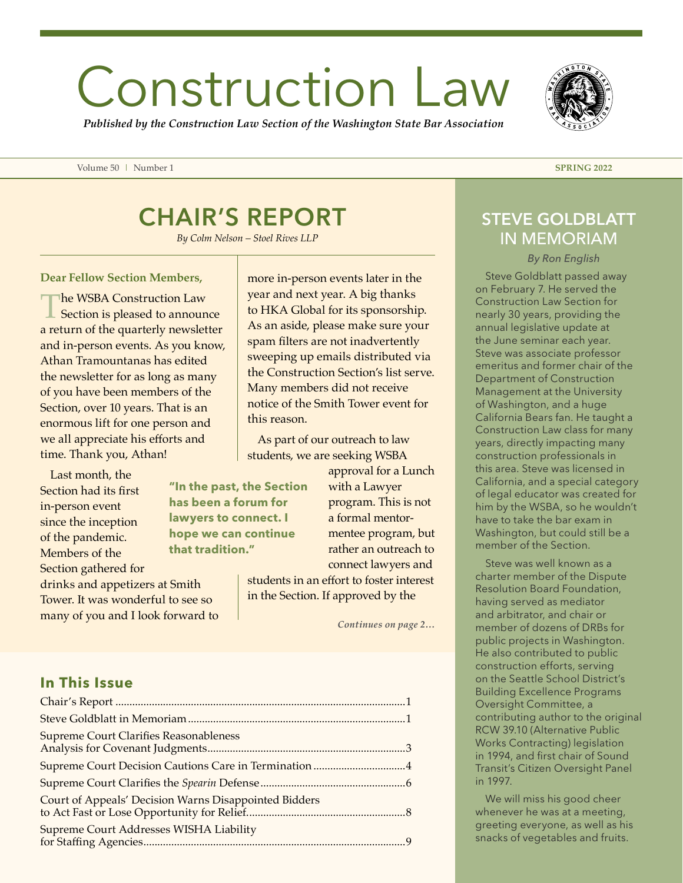# Construction Law

*Published by the Construction Law Section of the Washington State Bar Association*

Volume 50 | Number 1 **SPRING 2022**

## CHAIR'S REPORT

*By Colm Nelson – Stoel Rives LLP*

#### **Dear Fellow Section Members,**

The WSBA Construction Law<br>
Section is pleased to announce a return of the quarterly newsletter and in-person events. As you know, Athan Tramountanas has edited the newsletter for as long as many of you have been members of the Section, over 10 years. That is an enormous lift for one person and we all appreciate his efforts and time. Thank you, Athan!

Last month, the Section had its first in-person event since the inception of the pandemic. Members of the Section gathered for

drinks and appetizers at Smith Tower. It was wonderful to see so many of you and I look forward to more in-person events later in the year and next year. A big thanks to HKA Global for its sponsorship. As an aside, please make sure your spam filters are not inadvertently sweeping up emails distributed via the Construction Section's list serve. Many members did not receive notice of the Smith Tower event for this reason.

As part of our outreach to law students, we are seeking WSBA

**"In the past, the Section has been a forum for lawyers to connect. I hope we can continue that tradition."**

approval for a Lunch with a Lawyer program. This is not a formal mentormentee program, but rather an outreach to connect lawyers and

students in an effort to foster interest in the Section. If approved by the

*Continues on page 2…*

### **In This Issue**

| <b>Supreme Court Clarifies Reasonableness</b>         |  |
|-------------------------------------------------------|--|
| Supreme Court Decision Cautions Care in Termination 4 |  |
|                                                       |  |
| Court of Appeals' Decision Warns Disappointed Bidders |  |
| Supreme Court Addresses WISHA Liability               |  |

## STEVE GOLDBLATT IN MEMORIAM

*By Ron English*

Steve Goldblatt passed away on February 7. He served the Construction Law Section for nearly 30 years, providing the annual legislative update at the June seminar each year. Steve was associate professor emeritus and former chair of the Department of Construction Management at the University of Washington, and a huge California Bears fan. He taught a Construction Law class for many years, directly impacting many construction professionals in this area. Steve was licensed in California, and a special category of legal educator was created for him by the WSBA, so he wouldn't have to take the bar exam in Washington, but could still be a member of the Section.

Steve was well known as a charter member of the Dispute Resolution Board Foundation, having served as mediator and arbitrator, and chair or member of dozens of DRBs for public projects in Washington. He also contributed to public construction efforts, serving on the Seattle School District's Building Excellence Programs Oversight Committee, a contributing author to the original RCW 39.10 (Alternative Public Works Contracting) legislation in 1994, and first chair of Sound Transit's Citizen Oversight Panel in 1997.

We will miss his good cheer whenever he was at a meeting, greeting everyone, as well as his snacks of vegetables and fruits.

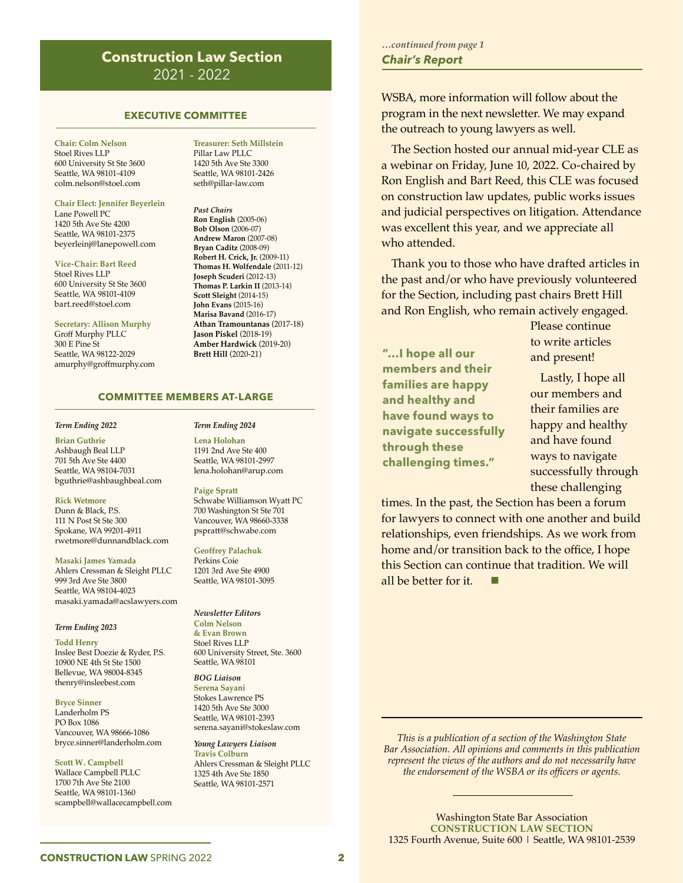#### **Construction Law Section**  2021 - 2022

#### **EXECUTIVE COMMITTEE**

**Chair: Colm Nelson** Stoel Rives LLP 600 University St Ste 3600 Seattle, WA 98101-4109 colm.nelson@stoel.com

**Chair Elect: Jennifer Beyerlein** Lane Powell PC 1420 5th Ave Ste 4200 Seattle, WA 98101-2375 beyerleinj@lanepowell.com

**Vice-Chair: Bart Reed** Stoel Rives LLP 600 University St Ste 3600 Seattle, WA 98101-4109 bart.reed@stoel.com

**Secretary: Allison Murphy** Groff Murphy PLLC 300 E Pine St Seattle, WA 98122-2029 amurphy@groffmurphy.com **Treasurer: Seth Millstein** Pillar Law PLLC 1420 5th Ave Ste 3300 Seattle, WA 98101-2426 seth@pillar-law.com

*Past Chairs* **Ron English** (2005-06) **Bob Olson** (2006-07) **Andrew Maron** (2007-08) **Bryan Caditz** (2008-09) **Robert H. Crick, Jr.** (2009-11) **Thomas H. Wolfendale** (2011-12) **Joseph Scuderi** (2012-13) **Thomas P. Larkin II** (2013-14) **Scott Sleight** (2014-15) **John Evans** (2015-16) **Marisa Bavand** (2016-17) **Athan Tramountanas** (2017-18) **Jason Piskel** (2018-19) **Amber Hardwick** (2019-20) **Brett Hill** (2020-21)

#### **COMMITTEE MEMBERS AT-LARGE**

#### *Term Ending 2022*

**Brian Guthrie** Ashbaugh Beal LLP 701 5th Ave Ste 4400 Seattle, WA 98104-7031 bguthrie@ashbaughbeal.com

**Rick Wetmore** Dunn & Black, P.S. 111 N Post St Ste 300 Spokane, WA 99201-4911 rwetmore@dunnandblack.com

**Masaki James Yamada** Ahlers Cressman & Sleight PLLC 999 3rd Ave Ste 3800 Seattle, WA 98104-4023 masaki.yamada@acslawyers.com

#### *Term Ending 2023*

**Todd Henry** Inslee Best Doezie & Ryder, P.S. 10900 NE 4th St Ste 1500 Bellevue, WA 98004-8345 thenry@insleebest.com

**Bryce Sinner** Landerholm PS PO Box 1086 Vancouver, WA 98666-1086 bryce.sinner@landerholm.com

**Scott W. Campbell** Wallace Campbell PLLC 1700 7th Ave Ste 2100 Seattle, WA 98101-1360 scampbell@wallacecampbell.com

#### *Term Ending 2024*

**Lena Holohan** 1191 2nd Ave Ste 400 Seattle, WA 98101-2997 lena.holohan@arup.com

**Paige Spratt** Schwabe Williamson Wyatt PC 700 Washington St Ste 701 Vancouver, WA 98660-3338 pspratt@schwabe.com

**Geoffrey Palachuk** Perkins Coie 1201 3rd Ave Ste 4900 Seattle, WA 98101-3095

*Newsletter Editors* **Colm Nelson & Evan Brown** Stoel Rives LLP 600 University Street, Ste. 3600 Seattle, WA 98101

#### *BOG Liaison*

**Serena Sayani**  Stokes Lawrence PS 1420 5th Ave Ste 3000 Seattle, WA 98101-2393 serena.sayani@stokeslaw.com

*Young Lawyers Liaison* **Travis Colburn** Ahlers Cressman & Sleight PLLC 1325 4th Ave Ste 1850 Seattle, WA 98101-2571

*Chair's Report …continued from page 1*

WSBA, more information will follow about the program in the next newsletter. We may expand the outreach to young lawyers as well.

The Section hosted our annual mid-year CLE as a webinar on Friday, June 10, 2022. Co-chaired by Ron English and Bart Reed, this CLE was focused on construction law updates, public works issues and judicial perspectives on litigation. Attendance was excellent this year, and we appreciate all who attended.

Thank you to those who have drafted articles in the past and/or who have previously volunteered for the Section, including past chairs Brett Hill and Ron English, who remain actively engaged.

**"…I hope all our members and their families are happy and healthy and have found ways to navigate successfully through these challenging times."**

Please continue to write articles and present!

Lastly, I hope all our members and their families are happy and healthy and have found ways to navigate successfully through these challenging

times. In the past, the Section has been a forum for lawyers to connect with one another and build relationships, even friendships. As we work from home and/or transition back to the office, I hope this Section can continue that tradition. We will all be better for it.

*This is a publication of a section of the Washington State Bar Association. All opinions and comments in this publication represent the views of the authors and do not necessarily have the endorsement of the WSBA or its officers or agents.*

**CONSTRUCTION LAW** SPRING 2022<br>CONSTRUCTION LAW SPRING 2022<br>**2 CONSTRUCTION LAW SECTION**  1325 Fourth Avenue, Suite 600 | Seattle, WA 98101-2539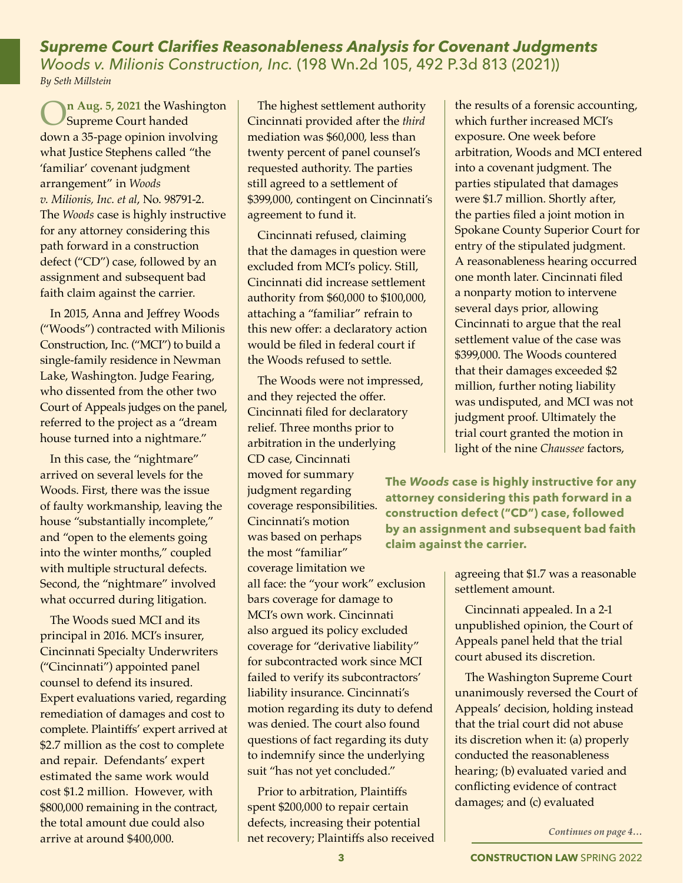*Supreme Court Clarifies Reasonableness Analysis for Covenant Judgments Woods v. Milionis Construction, Inc.* (198 Wn.2d 105, 492 P.3d 813 (2021)) *By Seth Millstein*

O**n Aug. 5, 2021** the Washington Supreme Court handed down a 35-page opinion involving what Justice Stephens called "the 'familiar' covenant judgment arrangement" in *Woods v. Milionis, Inc. et al*, No. 98791-2. The *Woods* case is highly instructive for any attorney considering this path forward in a construction defect ("CD") case, followed by an assignment and subsequent bad faith claim against the carrier.

In 2015, Anna and Jeffrey Woods ("Woods") contracted with Milionis Construction, Inc. ("MCI") to build a single-family residence in Newman Lake, Washington. Judge Fearing, who dissented from the other two Court of Appeals judges on the panel, referred to the project as a "dream house turned into a nightmare."

In this case, the "nightmare" arrived on several levels for the Woods. First, there was the issue of faulty workmanship, leaving the house "substantially incomplete," and "open to the elements going into the winter months," coupled with multiple structural defects. Second, the "nightmare" involved what occurred during litigation.

The Woods sued MCI and its principal in 2016. MCI's insurer, Cincinnati Specialty Underwriters ("Cincinnati") appointed panel counsel to defend its insured. Expert evaluations varied, regarding remediation of damages and cost to complete. Plaintiffs' expert arrived at \$2.7 million as the cost to complete and repair. Defendants' expert estimated the same work would cost \$1.2 million. However, with \$800,000 remaining in the contract, the total amount due could also arrive at around \$400,000.

The highest settlement authority Cincinnati provided after the *third* mediation was \$60,000, less than twenty percent of panel counsel's requested authority. The parties still agreed to a settlement of \$399,000, contingent on Cincinnati's agreement to fund it.

Cincinnati refused, claiming that the damages in question were excluded from MCI's policy. Still, Cincinnati did increase settlement authority from \$60,000 to \$100,000, attaching a "familiar" refrain to this new offer: a declaratory action would be filed in federal court if the Woods refused to settle.

The Woods were not impressed, and they rejected the offer. Cincinnati filed for declaratory relief. Three months prior to arbitration in the underlying CD case, Cincinnati moved for summary judgment regarding coverage responsibilities. Cincinnati's motion was based on perhaps the most "familiar" coverage limitation we all face: the "your work" exclusion bars coverage for damage to MCI's own work. Cincinnati also argued its policy excluded coverage for "derivative liability" for subcontracted work since MCI failed to verify its subcontractors' liability insurance. Cincinnati's motion regarding its duty to defend was denied. The court also found questions of fact regarding its duty to indemnify since the underlying suit "has not yet concluded."

Prior to arbitration, Plaintiffs spent \$200,000 to repair certain defects, increasing their potential net recovery; Plaintiffs also received

the results of a forensic accounting, which further increased MCI's exposure. One week before arbitration, Woods and MCI entered into a covenant judgment. The parties stipulated that damages were \$1.7 million. Shortly after, the parties filed a joint motion in Spokane County Superior Court for entry of the stipulated judgment. A reasonableness hearing occurred one month later. Cincinnati filed a nonparty motion to intervene several days prior, allowing Cincinnati to argue that the real settlement value of the case was \$399,000. The Woods countered that their damages exceeded \$2 million, further noting liability was undisputed, and MCI was not judgment proof. Ultimately the trial court granted the motion in light of the nine *Chaussee* factors,

**The** *Woods* **case is highly instructive for any attorney considering this path forward in a construction defect ("CD") case, followed by an assignment and subsequent bad faith claim against the carrier.**

> agreeing that \$1.7 was a reasonable settlement amount.

Cincinnati appealed. In a 2-1 unpublished opinion, the Court of Appeals panel held that the trial court abused its discretion.

The Washington Supreme Court unanimously reversed the Court of Appeals' decision, holding instead that the trial court did not abuse its discretion when it: (a) properly conducted the reasonableness hearing; (b) evaluated varied and conflicting evidence of contract damages; and (c) evaluated

*Continues on page 4…*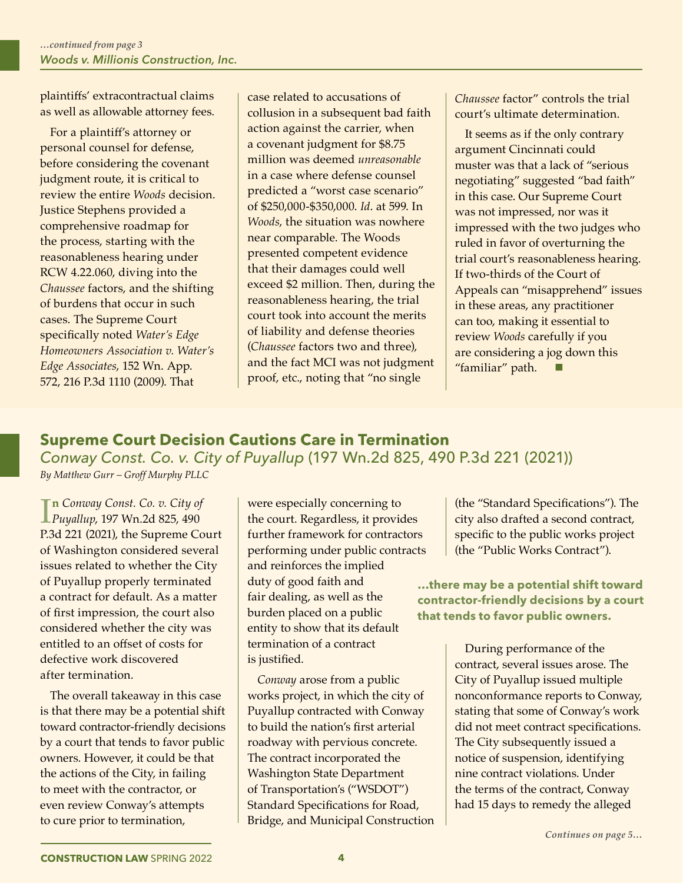plaintiffs' extracontractual claims as well as allowable attorney fees.

For a plaintiff's attorney or personal counsel for defense, before considering the covenant judgment route, it is critical to review the entire *Woods* decision. Justice Stephens provided a comprehensive roadmap for the process, starting with the reasonableness hearing under RCW 4.22.060, diving into the *Chaussee* factors, and the shifting of burdens that occur in such cases. The Supreme Court specifically noted *Water's Edge Homeowners Association v. Water's Edge Associates*, 152 Wn. App. 572, 216 P.3d 1110 (2009). That

case related to accusations of collusion in a subsequent bad faith action against the carrier, when a covenant judgment for \$8.75 million was deemed *unreasonable* in a case where defense counsel predicted a "worst case scenario" of \$250,000-\$350,000. *Id*. at 599. In *Woods*, the situation was nowhere near comparable. The Woods presented competent evidence that their damages could well exceed \$2 million. Then, during the reasonableness hearing, the trial court took into account the merits of liability and defense theories (*Chaussee* factors two and three), and the fact MCI was not judgment proof, etc., noting that "no single

*Chaussee* factor" controls the trial court's ultimate determination.

It seems as if the only contrary argument Cincinnati could muster was that a lack of "serious negotiating" suggested "bad faith" in this case. Our Supreme Court was not impressed, nor was it impressed with the two judges who ruled in favor of overturning the trial court's reasonableness hearing. If two-thirds of the Court of Appeals can "misapprehend" issues in these areas, any practitioner can too, making it essential to review *Woods* carefully if you are considering a jog down this "familiar" path.

## **Supreme Court Decision Cautions Care in Termination**

*Conway Const. Co. v. City of Puyallup* (197 Wn.2d 825, 490 P.3d 221 (2021)) *By Matthew Gurr – Groff Murphy PLLC*

**In** Conway Const. Co. v. City of<br>Puyallup, 197 Wn.2d 825, 490 **n** *Conway Const. Co. v. City of*  P.3d 221 (2021), the Supreme Court of Washington considered several issues related to whether the City of Puyallup properly terminated a contract for default. As a matter of first impression, the court also considered whether the city was entitled to an offset of costs for defective work discovered after termination.

The overall takeaway in this case is that there may be a potential shift toward contractor-friendly decisions by a court that tends to favor public owners. However, it could be that the actions of the City, in failing to meet with the contractor, or even review Conway's attempts to cure prior to termination,

were especially concerning to the court. Regardless, it provides further framework for contractors performing under public contracts and reinforces the implied duty of good faith and fair dealing, as well as the burden placed on a public entity to show that its default termination of a contract is justified.

*Conway* arose from a public works project, in which the city of Puyallup contracted with Conway to build the nation's first arterial roadway with pervious concrete. The contract incorporated the Washington State Department of Transportation's ("WSDOT") Standard Specifications for Road, Bridge, and Municipal Construction

(the "Standard Specifications"). The city also drafted a second contract, specific to the public works project (the "Public Works Contract").

**…there may be a potential shift toward contractor-friendly decisions by a court that tends to favor public owners.** 

> During performance of the contract, several issues arose. The City of Puyallup issued multiple nonconformance reports to Conway, stating that some of Conway's work did not meet contract specifications. The City subsequently issued a notice of suspension, identifying nine contract violations. Under the terms of the contract, Conway had 15 days to remedy the alleged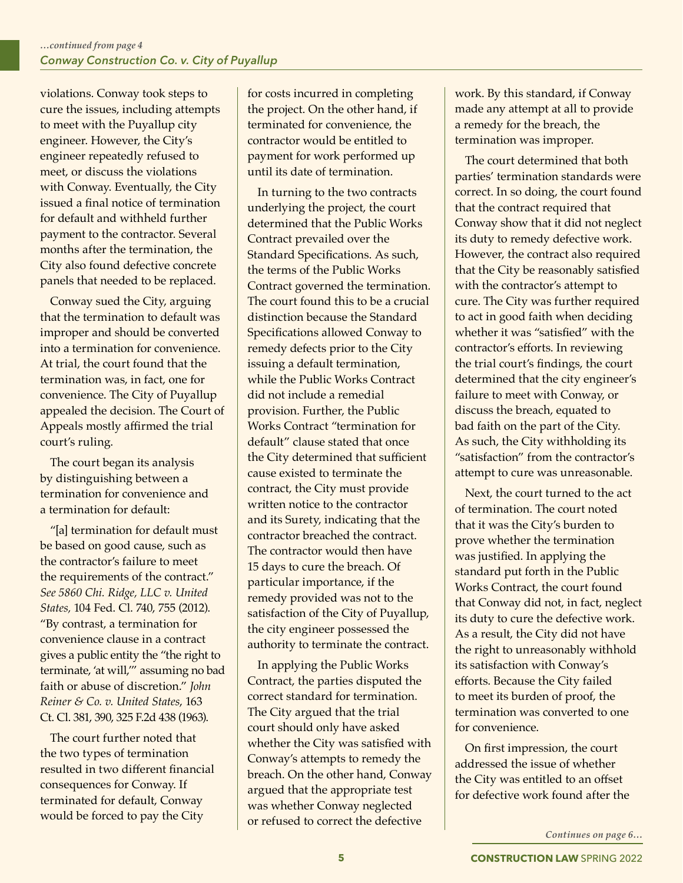violations. Conway took steps to cure the issues, including attempts to meet with the Puyallup city engineer. However, the City's engineer repeatedly refused to meet, or discuss the violations with Conway. Eventually, the City issued a final notice of termination for default and withheld further payment to the contractor. Several months after the termination, the City also found defective concrete panels that needed to be replaced.

Conway sued the City, arguing that the termination to default was improper and should be converted into a termination for convenience. At trial, the court found that the termination was, in fact, one for convenience. The City of Puyallup appealed the decision. The Court of Appeals mostly affirmed the trial court's ruling.

The court began its analysis by distinguishing between a termination for convenience and a termination for default:

"[a] termination for default must be based on good cause, such as the contractor's failure to meet the requirements of the contract." *See 5860 Chi. Ridge, LLC v. United States,* 104 Fed. Cl. 740, 755 (2012). "By contrast, a termination for convenience clause in a contract gives a public entity the "the right to terminate, 'at will,'" assuming no bad faith or abuse of discretion." *John Reiner & Co. v. United States*, 163 Ct. Cl. 381, 390, 325 F.2d 438 (1963).

The court further noted that the two types of termination resulted in two different financial consequences for Conway. If terminated for default, Conway would be forced to pay the City

for costs incurred in completing the project. On the other hand, if terminated for convenience, the contractor would be entitled to payment for work performed up until its date of termination.

In turning to the two contracts underlying the project, the court determined that the Public Works Contract prevailed over the Standard Specifications. As such, the terms of the Public Works Contract governed the termination. The court found this to be a crucial distinction because the Standard Specifications allowed Conway to remedy defects prior to the City issuing a default termination, while the Public Works Contract did not include a remedial provision. Further, the Public Works Contract "termination for default" clause stated that once the City determined that sufficient cause existed to terminate the contract, the City must provide written notice to the contractor and its Surety, indicating that the contractor breached the contract. The contractor would then have 15 days to cure the breach. Of particular importance, if the remedy provided was not to the satisfaction of the City of Puyallup, the city engineer possessed the authority to terminate the contract.

In applying the Public Works Contract, the parties disputed the correct standard for termination. The City argued that the trial court should only have asked whether the City was satisfied with Conway's attempts to remedy the breach. On the other hand, Conway argued that the appropriate test was whether Conway neglected or refused to correct the defective

work. By this standard, if Conway made any attempt at all to provide a remedy for the breach, the termination was improper.

The court determined that both parties' termination standards were correct. In so doing, the court found that the contract required that Conway show that it did not neglect its duty to remedy defective work. However, the contract also required that the City be reasonably satisfied with the contractor's attempt to cure. The City was further required to act in good faith when deciding whether it was "satisfied" with the contractor's efforts. In reviewing the trial court's findings, the court determined that the city engineer's failure to meet with Conway, or discuss the breach, equated to bad faith on the part of the City. As such, the City withholding its "satisfaction" from the contractor's attempt to cure was unreasonable.

Next, the court turned to the act of termination. The court noted that it was the City's burden to prove whether the termination was justified. In applying the standard put forth in the Public Works Contract, the court found that Conway did not, in fact, neglect its duty to cure the defective work. As a result, the City did not have the right to unreasonably withhold its satisfaction with Conway's efforts. Because the City failed to meet its burden of proof, the termination was converted to one for convenience.

On first impression, the court addressed the issue of whether the City was entitled to an offset for defective work found after the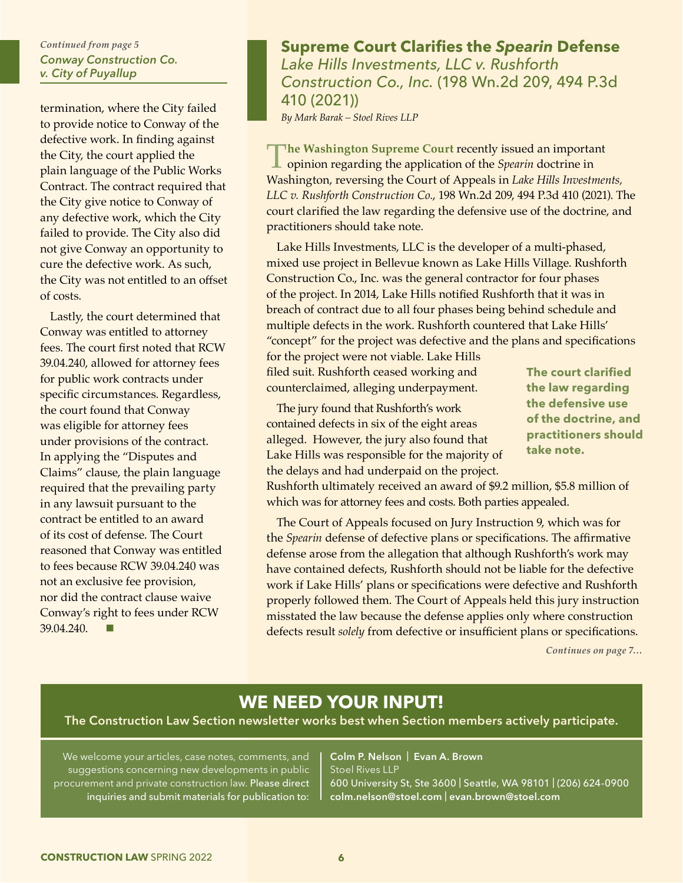#### *Conway Construction Co. v. City of Puyallup Continued from page 5*

termination, where the City failed to provide notice to Conway of the defective work. In finding against the City, the court applied the plain language of the Public Works Contract. The contract required that the City give notice to Conway of any defective work, which the City failed to provide. The City also did not give Conway an opportunity to cure the defective work. As such, the City was not entitled to an offset of costs.

Lastly, the court determined that Conway was entitled to attorney fees. The court first noted that RCW 39.04.240, allowed for attorney fees for public work contracts under specific circumstances. Regardless, the court found that Conway was eligible for attorney fees under provisions of the contract. In applying the "Disputes and Claims" clause, the plain language required that the prevailing party in any lawsuit pursuant to the contract be entitled to an award of its cost of defense. The Court reasoned that Conway was entitled to fees because RCW 39.04.240 was not an exclusive fee provision, nor did the contract clause waive Conway's right to fees under RCW  $39.04.240$ 

### **Supreme Court Clarifies the** *Spearin* **Defense** *Lake Hills Investments, LLC v. Rushforth Construction Co., Inc.* (198 Wn.2d 209, 494 P.3d 410 (2021))

*By Mark Barak – Stoel Rives LLP*

**The Washington Supreme Court** recently issued an important opinion regarding the application of the *Spearin* doctrine in Washington, reversing the Court of Appeals in *Lake Hills Investments, LLC v. Rushforth Construction Co.*, 198 Wn.2d 209, 494 P.3d 410 (2021). The court clarified the law regarding the defensive use of the doctrine, and practitioners should take note.

Lake Hills Investments, LLC is the developer of a multi-phased, mixed use project in Bellevue known as Lake Hills Village. Rushforth Construction Co., Inc. was the general contractor for four phases of the project. In 2014, Lake Hills notified Rushforth that it was in breach of contract due to all four phases being behind schedule and multiple defects in the work. Rushforth countered that Lake Hills' "concept" for the project was defective and the plans and specifications

for the project were not viable. Lake Hills filed suit. Rushforth ceased working and counterclaimed, alleging underpayment.

The jury found that Rushforth's work contained defects in six of the eight areas alleged. However, the jury also found that Lake Hills was responsible for the majority of the delays and had underpaid on the project.

**The court clarified the law regarding the defensive use of the doctrine, and practitioners should take note.** 

Rushforth ultimately received an award of \$9.2 million, \$5.8 million of which was for attorney fees and costs. Both parties appealed.

The Court of Appeals focused on Jury Instruction 9, which was for the *Spearin* defense of defective plans or specifications. The affirmative defense arose from the allegation that although Rushforth's work may have contained defects, Rushforth should not be liable for the defective work if Lake Hills' plans or specifications were defective and Rushforth properly followed them. The Court of Appeals held this jury instruction misstated the law because the defense applies only where construction defects result *solely* from defective or insufficient plans or specifications.

*Continues on page 7…*

## **WE NEED YOUR INPUT!**

The Construction Law Section newsletter works best when Section members actively participate.

We welcome your articles, case notes, comments, and suggestions concerning new developments in public procurement and private construction law. Please direct inquiries and submit materials for publication to:

Colm P. Nelson | Evan A. Brown Stoel Rives LLP 600 University St, Ste 3600 | Seattle, WA 98101 | (206) 624-0900 colm.nelson@stoel.com | evan.brown@stoel.com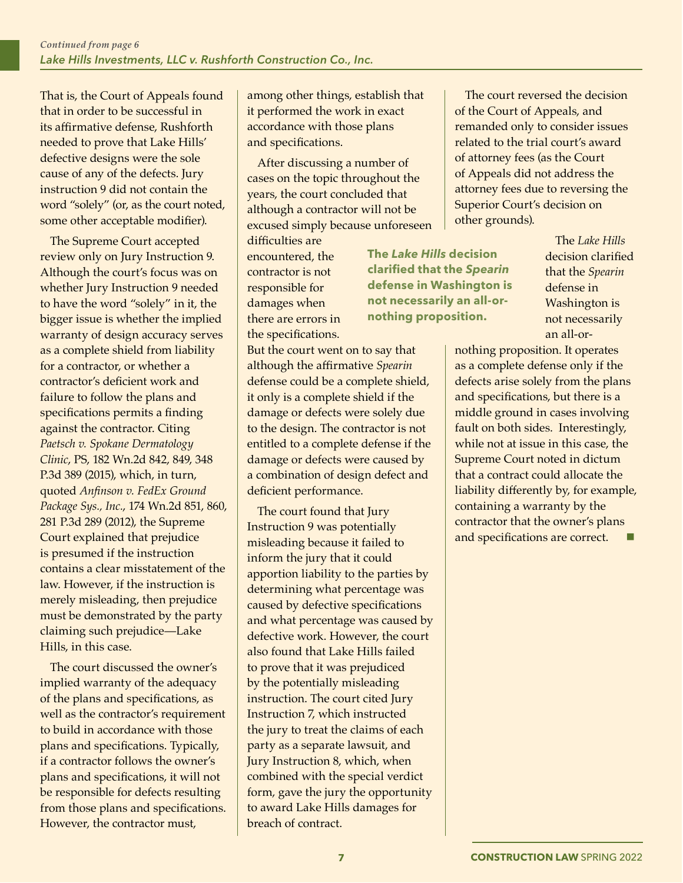That is, the Court of Appeals found that in order to be successful in its affirmative defense, Rushforth needed to prove that Lake Hills' defective designs were the sole cause of any of the defects. Jury instruction 9 did not contain the word "solely" (or, as the court noted, some other acceptable modifier).

The Supreme Court accepted review only on Jury Instruction 9. Although the court's focus was on whether Jury Instruction 9 needed to have the word "solely" in it, the bigger issue is whether the implied warranty of design accuracy serves as a complete shield from liability for a contractor, or whether a contractor's deficient work and failure to follow the plans and specifications permits a finding against the contractor. Citing *Paetsch v. Spokane Dermatology Clinic*, PS, 182 Wn.2d 842, 849, 348 P.3d 389 (2015), which, in turn, quoted *Anfinson v. FedEx Ground Package Sys., Inc.*, 174 Wn.2d 851, 860, 281 P.3d 289 (2012), the Supreme Court explained that prejudice is presumed if the instruction contains a clear misstatement of the law. However, if the instruction is merely misleading, then prejudice must be demonstrated by the party claiming such prejudice—Lake Hills, in this case.

The court discussed the owner's implied warranty of the adequacy of the plans and specifications, as well as the contractor's requirement to build in accordance with those plans and specifications. Typically, if a contractor follows the owner's plans and specifications, it will not be responsible for defects resulting from those plans and specifications. However, the contractor must,

among other things, establish that it performed the work in exact accordance with those plans and specifications.

After discussing a number of cases on the topic throughout the years, the court concluded that although a contractor will not be excused simply because unforeseen

difficulties are encountered, the contractor is not responsible for damages when there are errors in the specifications.

But the court went on to say that although the affirmative *Spearin* defense could be a complete shield, it only is a complete shield if the damage or defects were solely due to the design. The contractor is not entitled to a complete defense if the damage or defects were caused by a combination of design defect and deficient performance.

The court found that Jury Instruction 9 was potentially misleading because it failed to inform the jury that it could apportion liability to the parties by determining what percentage was caused by defective specifications and what percentage was caused by defective work. However, the court also found that Lake Hills failed to prove that it was prejudiced by the potentially misleading instruction. The court cited Jury Instruction 7, which instructed the jury to treat the claims of each party as a separate lawsuit, and Jury Instruction 8, which, when combined with the special verdict form, gave the jury the opportunity to award Lake Hills damages for breach of contract.

The court reversed the decision of the Court of Appeals, and remanded only to consider issues related to the trial court's award of attorney fees (as the Court of Appeals did not address the attorney fees due to reversing the Superior Court's decision on other grounds).

> The *Lake Hills*  decision clarified that the *Spearin* defense in Washington is not necessarily an all-or-

nothing proposition. It operates as a complete defense only if the defects arise solely from the plans and specifications, but there is a middle ground in cases involving fault on both sides. Interestingly, while not at issue in this case, the Supreme Court noted in dictum that a contract could allocate the liability differently by, for example, containing a warranty by the contractor that the owner's plans and specifications are correct.

**The** *Lake Hills* **decision clarified that the** *Spearin* **defense in Washington is not necessarily an all-ornothing proposition.**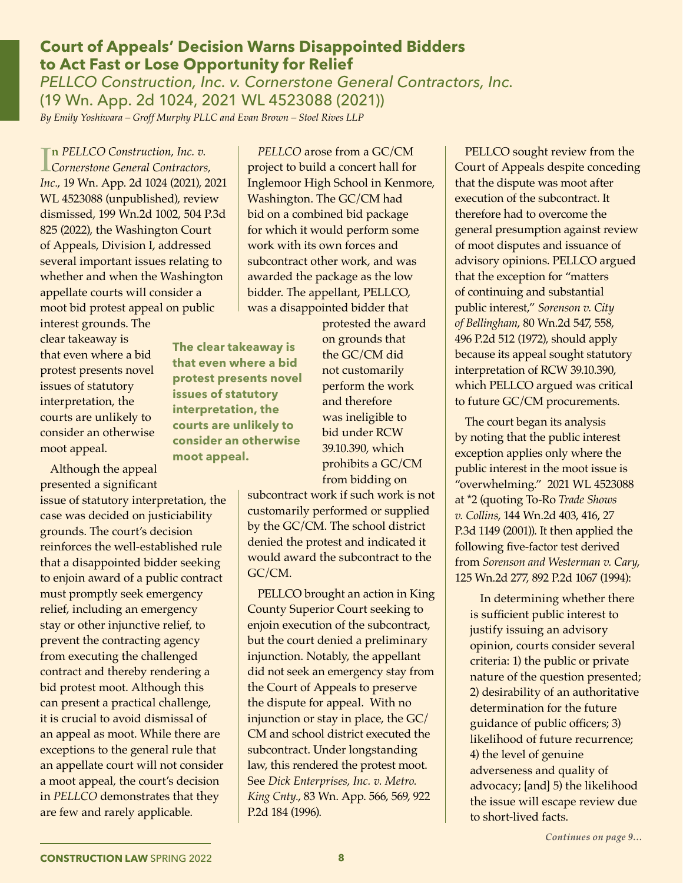#### *PELLCO Construction, Inc. v. Cornerstone General Contractors, Inc.*  (19 Wn. App. 2d 1024, 2021 WL 4523088 (2021))

**Court of Appeals' Decision Warns Disappointed Bidders** 

*By Emily Yoshiwara – Groff Murphy PLLC and Evan Brown – Stoel Rives LLP*

**to Act Fast or Lose Opportunity for Relief**

**In** PELLCO Construction, Inc. v.<br>Cornerstone General Contractors,<br>1974 (2001), 2014 **n** *PELLCO Construction, Inc. v. Inc.*, 19 Wn. App. 2d 1024 (2021), 2021 WL 4523088 (unpublished), review dismissed, 199 Wn.2d 1002, 504 P.3d 825 (2022), the Washington Court of Appeals, Division I, addressed several important issues relating to whether and when the Washington appellate courts will consider a moot bid protest appeal on public

interest grounds. The clear takeaway is that even where a bid protest presents novel issues of statutory interpretation, the courts are unlikely to consider an otherwise moot appeal.

Although the appeal presented a significant

issue of statutory interpretation, the case was decided on justiciability grounds. The court's decision reinforces the well-established rule that a disappointed bidder seeking to enjoin award of a public contract must promptly seek emergency relief, including an emergency stay or other injunctive relief, to prevent the contracting agency from executing the challenged contract and thereby rendering a bid protest moot. Although this can present a practical challenge, it is crucial to avoid dismissal of an appeal as moot. While there are exceptions to the general rule that an appellate court will not consider a moot appeal, the court's decision in *PELLCO* demonstrates that they are few and rarely applicable.

*PELLCO* arose from a GC/CM project to build a concert hall for Inglemoor High School in Kenmore, Washington. The GC/CM had bid on a combined bid package for which it would perform some work with its own forces and subcontract other work, and was awarded the package as the low bidder. The appellant, PELLCO, was a disappointed bidder that

**The clear takeaway is that even where a bid protest presents novel issues of statutory interpretation, the courts are unlikely to consider an otherwise moot appeal.**

protested the award on grounds that the GC/CM did not customarily perform the work and therefore was ineligible to bid under RCW 39.10.390, which prohibits a GC/CM from bidding on

subcontract work if such work is not customarily performed or supplied by the GC/CM. The school district denied the protest and indicated it would award the subcontract to the GC/CM.

PELLCO brought an action in King County Superior Court seeking to enjoin execution of the subcontract, but the court denied a preliminary injunction. Notably, the appellant did not seek an emergency stay from the Court of Appeals to preserve the dispute for appeal. With no injunction or stay in place, the GC/ CM and school district executed the subcontract. Under longstanding law, this rendered the protest moot. See *Dick Enterprises, Inc. v. Metro. King Cnty.*, 83 Wn. App. 566, 569, 922 P.2d 184 (1996).

PELLCO sought review from the Court of Appeals despite conceding that the dispute was moot after execution of the subcontract. It therefore had to overcome the general presumption against review of moot disputes and issuance of advisory opinions. PELLCO argued that the exception for "matters of continuing and substantial public interest," *Sorenson v. City of Bellingham*, 80 Wn.2d 547, 558, 496 P.2d 512 (1972), should apply because its appeal sought statutory interpretation of RCW 39.10.390, which PELLCO argued was critical to future GC/CM procurements.

The court began its analysis by noting that the public interest exception applies only where the public interest in the moot issue is "overwhelming." 2021 WL 4523088 at \*2 (quoting To-Ro *Trade Shows v. Collins*, 144 Wn.2d 403, 416, 27 P.3d 1149 (2001)). It then applied the following five-factor test derived from *Sorenson and Westerman v. Cary*, 125 Wn.2d 277, 892 P.2d 1067 (1994):

In determining whether there is sufficient public interest to justify issuing an advisory opinion, courts consider several criteria: 1) the public or private nature of the question presented; 2) desirability of an authoritative determination for the future guidance of public officers; 3) likelihood of future recurrence; 4) the level of genuine adverseness and quality of advocacy; [and] 5) the likelihood the issue will escape review due to short-lived facts.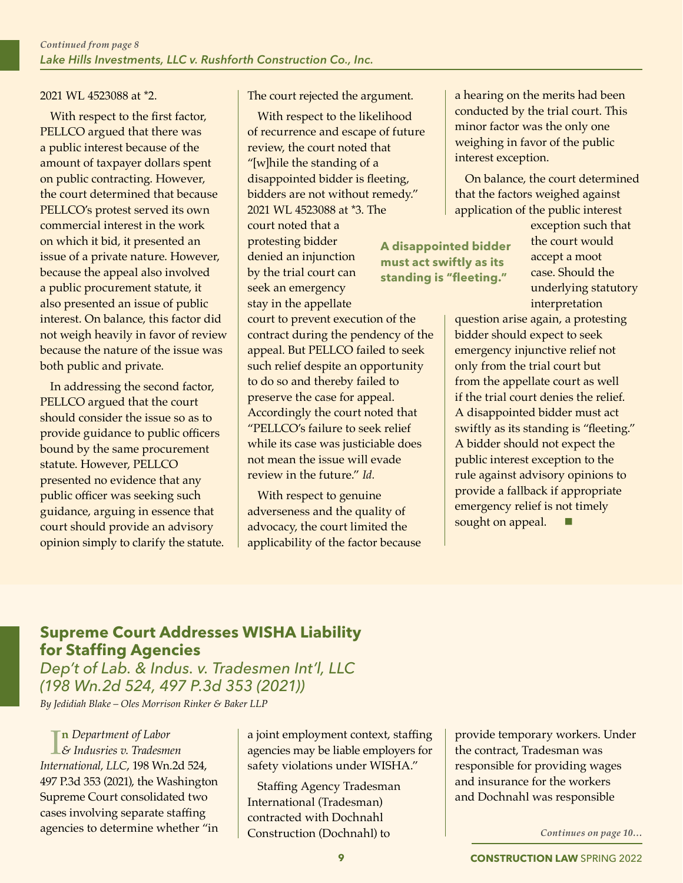#### 2021 WL 4523088 at \*2.

With respect to the first factor, PELLCO argued that there was a public interest because of the amount of taxpayer dollars spent on public contracting. However, the court determined that because PELLCO's protest served its own commercial interest in the work on which it bid, it presented an issue of a private nature. However, because the appeal also involved a public procurement statute, it also presented an issue of public interest. On balance, this factor did not weigh heavily in favor of review because the nature of the issue was both public and private.

In addressing the second factor, PELLCO argued that the court should consider the issue so as to provide guidance to public officers bound by the same procurement statute. However, PELLCO presented no evidence that any public officer was seeking such guidance, arguing in essence that court should provide an advisory opinion simply to clarify the statute. The court rejected the argument.

With respect to the likelihood of recurrence and escape of future review, the court noted that "[w]hile the standing of a disappointed bidder is fleeting, bidders are not without remedy." 2021 WL 4523088 at \*3. The court noted that a protesting bidder denied an injunction by the trial court can seek an emergency stay in the appellate

court to prevent execution of the contract during the pendency of the appeal. But PELLCO failed to seek such relief despite an opportunity to do so and thereby failed to preserve the case for appeal. Accordingly the court noted that "PELLCO's failure to seek relief while its case was justiciable does not mean the issue will evade review in the future." *Id.* 

With respect to genuine adverseness and the quality of advocacy, the court limited the applicability of the factor because

a hearing on the merits had been conducted by the trial court. This minor factor was the only one weighing in favor of the public interest exception.

On balance, the court determined that the factors weighed against application of the public interest

**A disappointed bidder must act swiftly as its standing is "fleeting."** 

exception such that the court would accept a moot case. Should the underlying statutory interpretation

question arise again, a protesting bidder should expect to seek emergency injunctive relief not only from the trial court but from the appellate court as well if the trial court denies the relief. A disappointed bidder must act swiftly as its standing is "fleeting." A bidder should not expect the public interest exception to the rule against advisory opinions to provide a fallback if appropriate emergency relief is not timely sought on appeal.

## **Supreme Court Addresses WISHA Liability for Staffing Agencies**

*Dep't of Lab. & Indus. v. Tradesmen Int'l, LLC (198 Wn.2d 524, 497 P.3d 353 (2021)) By Jedidiah Blake – Oles Morrison Rinker & Baker LLP*

I *& Indusries v. Tradesmen*  **n** *Department of Labor International, LLC*, 198 Wn.2d 524, 497 P.3d 353 (2021), the Washington Supreme Court consolidated two cases involving separate staffing agencies to determine whether "in

a joint employment context, staffing agencies may be liable employers for safety violations under WISHA."

Staffing Agency Tradesman International (Tradesman) contracted with Dochnahl Construction (Dochnahl) to

provide temporary workers. Under the contract, Tradesman was responsible for providing wages and insurance for the workers and Dochnahl was responsible

*Continues on page 10…*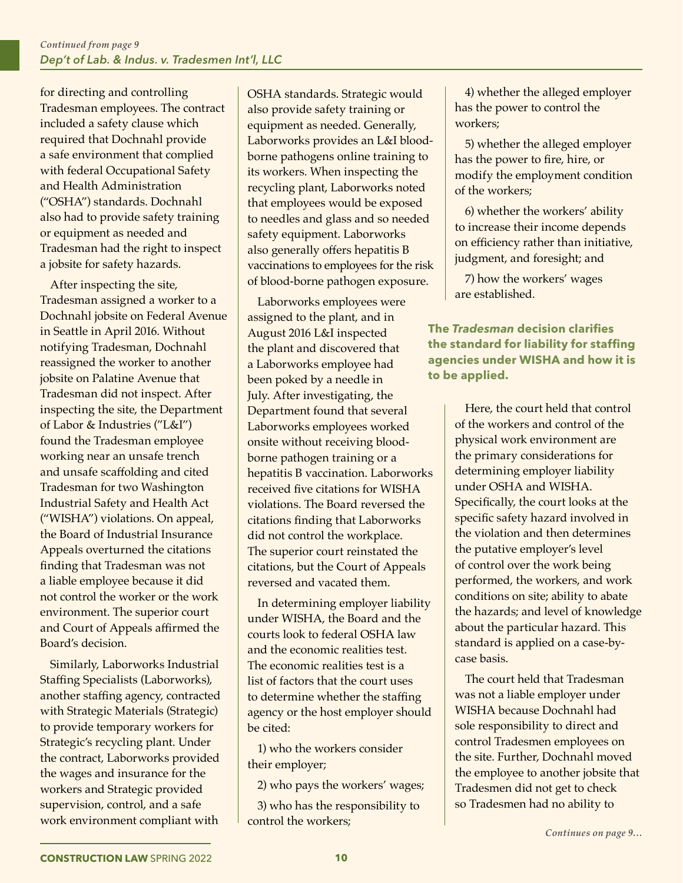for directing and controlling Tradesman employees. The contract included a safety clause which required that Dochnahl provide a safe environment that complied with federal Occupational Safety and Health Administration ("OSHA") standards. Dochnahl also had to provide safety training or equipment as needed and Tradesman had the right to inspect a jobsite for safety hazards.

After inspecting the site, Tradesman assigned a worker to a Dochnahl jobsite on Federal Avenue in Seattle in April 2016. Without notifying Tradesman, Dochnahl reassigned the worker to another jobsite on Palatine Avenue that Tradesman did not inspect. After inspecting the site, the Department of Labor & Industries ("L&I") found the Tradesman employee working near an unsafe trench and unsafe scaffolding and cited Tradesman for two Washington Industrial Safety and Health Act ("WISHA") violations. On appeal, the Board of Industrial Insurance Appeals overturned the citations finding that Tradesman was not a liable employee because it did not control the worker or the work environment. The superior court and Court of Appeals affirmed the Board's decision.

Similarly, Laborworks Industrial Staffing Specialists (Laborworks), another staffing agency, contracted with Strategic Materials (Strategic) to provide temporary workers for Strategic's recycling plant. Under the contract, Laborworks provided the wages and insurance for the workers and Strategic provided supervision, control, and a safe work environment compliant with

OSHA standards. Strategic would also provide safety training or equipment as needed. Generally, Laborworks provides an L&I bloodborne pathogens online training to its workers. When inspecting the recycling plant, Laborworks noted that employees would be exposed to needles and glass and so needed safety equipment. Laborworks also generally offers hepatitis B vaccinations to employees for the risk of blood-borne pathogen exposure.

Laborworks employees were assigned to the plant, and in August 2016 L&I inspected the plant and discovered that a Laborworks employee had been poked by a needle in July. After investigating, the Department found that several Laborworks employees worked onsite without receiving bloodborne pathogen training or a hepatitis B vaccination. Laborworks received five citations for WISHA violations. The Board reversed the citations finding that Laborworks did not control the workplace. The superior court reinstated the citations, but the Court of Appeals reversed and vacated them.

In determining employer liability under WISHA, the Board and the courts look to federal OSHA law and the economic realities test. The economic realities test is a list of factors that the court uses to determine whether the staffing agency or the host employer should be cited:

1) who the workers consider their employer;

2) who pays the workers' wages;

3) who has the responsibility to control the workers;

4) whether the alleged employer has the power to control the workers;

5) whether the alleged employer has the power to fire, hire, or modify the employment condition of the workers;

6) whether the workers' ability to increase their income depends on efficiency rather than initiative, judgment, and foresight; and

7) how the workers' wages are established.

**The** *Tradesman* **decision clarifies the standard for liability for staffing agencies under WISHA and how it is to be applied.**

> Here, the court held that control of the workers and control of the physical work environment are the primary considerations for determining employer liability under OSHA and WISHA. Specifically, the court looks at the specific safety hazard involved in the violation and then determines the putative employer's level of control over the work being performed, the workers, and work conditions on site; ability to abate the hazards; and level of knowledge about the particular hazard. This standard is applied on a case-bycase basis.

The court held that Tradesman was not a liable employer under WISHA because Dochnahl had sole responsibility to direct and control Tradesmen employees on the site. Further, Dochnahl moved the employee to another jobsite that Tradesmen did not get to check so Tradesmen had no ability to